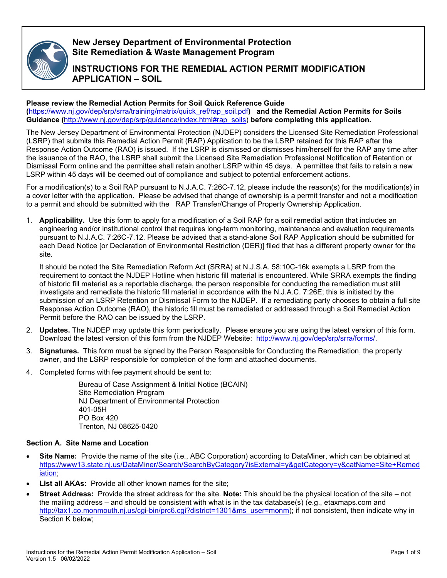

# **New Jersey Department of Environmental Protection Site Remediation & Waste Management Program**

# **INSTRUCTIONS FOR THE REMEDIAL ACTION PERMIT MODIFICATION APPLICATION – SOIL**

## **Please review the Remedial Action Permits for Soil Quick Reference Guide**

**(**[https://www.nj.gov/dep/srp/srra/training/matrix/quick\\_ref/rap\\_soil.pdf](https://www.nj.gov/dep/srp/srra/training/matrix/quick_ref/rap_soil.pdf)**) and the Remedial Action Permits for Soils Guidance (**[http://www.nj.gov/dep/srp/guidance/index.html#rap\\_soils\)](http://www.nj.gov/dep/srp/guidance/index.html#rap_soils) **before completing this application.**

The New Jersey Department of Environmental Protection (NJDEP) considers the Licensed Site Remediation Professional (LSRP) that submits this Remedial Action Permit (RAP) Application to be the LSRP retained for this RAP after the Response Action Outcome (RAO) is issued. If the LSRP is dismissed or dismisses him/herself for the RAP any time after the issuance of the RAO, the LSRP shall submit the Licensed Site Remediation Professional Notification of Retention or Dismissal Form online and the permittee shall retain another LSRP within 45 days. A permittee that fails to retain a new LSRP within 45 days will be deemed out of compliance and subject to potential enforcement actions.

For a modification(s) to a Soil RAP pursuant to N.J.A.C. 7:26C-7.12, please include the reason(s) for the modification(s) in a cover letter with the application. Please be advised that change of ownership is a permit transfer and not a modification to a permit and should be submitted with the RAP Transfer/Change of Property Ownership Application.

1. **Applicability.** Use this form to apply for a modification of a Soil RAP for a soil remedial action that includes an engineering and/or institutional control that requires long-term monitoring, maintenance and evaluation requirements pursuant to N.J.A.C. 7:26C-7.12. Please be advised that a stand-alone Soil RAP Application should be submitted for each Deed Notice [or Declaration of Environmental Restriction (DER)] filed that has a different property owner for the site.

It should be noted the Site Remediation Reform Act (SRRA) at N.J.S.A. 58:10C-16k exempts a LSRP from the requirement to contact the NJDEP Hotline when historic fill material is encountered. While SRRA exempts the finding of historic fill material as a reportable discharge, the person responsible for conducting the remediation must still investigate and remediate the historic fill material in accordance with the N.J.A.C. 7:26E; this is initiated by the submission of an LSRP Retention or Dismissal Form to the NJDEP. If a remediating party chooses to obtain a full site Response Action Outcome (RAO), the historic fill must be remediated or addressed through a Soil Remedial Action Permit before the RAO can be issued by the LSRP.

- 2. **Updates.** The NJDEP may update this form periodically. Please ensure you are using the latest version of this form. Download the latest version of this form from the NJDEP Website: [http://www.nj.gov/dep/srp/srra/forms/.](http://www.nj.gov/dep/srp/srra/forms/)
- 3. **Signatures.** This form must be signed by the Person Responsible for Conducting the Remediation, the property owner, and the LSRP responsible for completion of the form and attached documents.
- 4. Completed forms with fee payment should be sent to:

Bureau of Case Assignment & Initial Notice (BCAIN) Site Remediation Program NJ Department of Environmental Protection 401-05H PO Box 420 Trenton, NJ 08625-0420

## **Section A. Site Name and Location**

- **Site Name:** Provide the name of the site (i.e., ABC Corporation) according to DataMiner, which can be obtained at [https://www13.state.nj.us/DataMiner/Search/SearchByCategory?isExternal=y&getCategory=y&catName=Site+Remed](https://www13.state.nj.us/DataMiner/Search/SearchByCategory?isExternal=y&getCategory=y&catName=Site+Remediation) [iation;](https://www13.state.nj.us/DataMiner/Search/SearchByCategory?isExternal=y&getCategory=y&catName=Site+Remediation)
- **List all AKAs:** Provide all other known names for the site:
- **Street Address:** Provide the street address for the site. **Note:** This should be the physical location of the site not the mailing address – and should be consistent with what is in the tax database(s) (e.g., etaxmaps.com and [http://tax1.co.monmouth.nj.us/cgi-bin/prc6.cgi?district=1301&ms\\_user=monm\)](http://tax1.co.monmouth.nj.us/cgi-bin/prc6.cgi?district=1301&ms_user=monm); if not consistent, then indicate why in Section K below;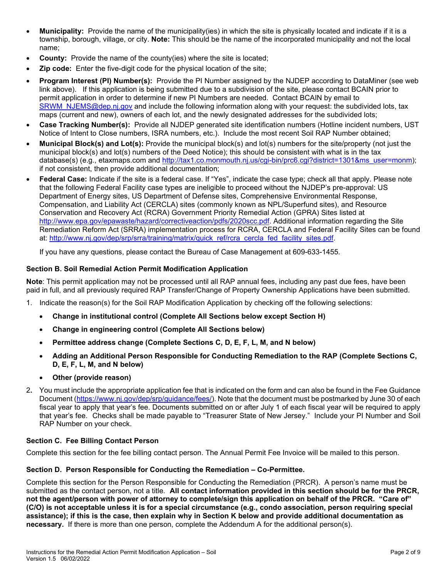- **Municipality:** Provide the name of the municipality(ies) in which the site is physically located and indicate if it is a township, borough, village, or city. **Note:** This should be the name of the incorporated municipality and not the local name;
- **County:** Provide the name of the county(ies) where the site is located;
- **Zip code:** Enter the five-digit code for the physical location of the site;
- **Program Interest (PI) Number(s):** Provide the PI Number assigned by the NJDEP according to DataMiner (see web link above). If this application is being submitted due to a subdivision of the site, please contact BCAIN prior to permit application in order to determine if new PI Numbers are needed. Contact BCAIN by email to [SRWM\\_NJEMS@dep.nj.gov](mailto:SRWM_NJEMS@dep.nj.gov) and include the following information along with your request: the subdivided lots, tax maps (current and new), owners of each lot, and the newly designated addresses for the subdivided lots;
- **Case Tracking Number(s):** Provide all NJDEP generated site identification numbers (Hotline incident numbers, UST Notice of Intent to Close numbers, ISRA numbers, etc.). Include the most recent Soil RAP Number obtained;
- **Municipal Block(s) and Lot(s):** Provide the municipal block(s) and lot(s) numbers for the site/property (not just the municipal block(s) and lot(s) numbers of the Deed Notice); this should be consistent with what is in the tax database(s) (e.g., etaxmaps.com and [http://tax1.co.monmouth.nj.us/cgi-bin/prc6.cgi?district=1301&ms\\_user=monm\)](http://tax1.co.monmouth.nj.us/cgi-bin/prc6.cgi?district=1301&ms_user=monm); if not consistent, then provide additional documentation;
- **Federal Case:** Indicate if the site is a federal case. If "Yes", indicate the case type; check all that apply. Please note that the following Federal Facility case types are ineligible to proceed without the NJDEP's pre-approval: US Department of Energy sites, US Department of Defense sites, Comprehensive Environmental Response, Compensation, and Liability Act (CERCLA) sites (commonly known as NPL/Superfund sites), and Resource Conservation and Recovery Act (RCRA) Government Priority Remedial Action (GPRA) Sites listed at [http://www.epa.gov/epawaste/hazard/correctiveaction/pdfs/2020scc.pdf.](http://www.epa.gov/epawaste/hazard/correctiveaction/pdfs/2020scc.pdf) Additional information regarding the Site Remediation Reform Act (SRRA) implementation process for RCRA, CERCLA and Federal Facility Sites can be found at: [http://www.nj.gov/dep/srp/srra/training/matrix/quick\\_ref/rcra\\_cercla\\_fed\\_facility\\_sites.pdf.](http://www.nj.gov/dep/srp/srra/training/matrix/quick_ref/rcra_cercla_fed_facility_sites.pdf)

If you have any questions, please contact the Bureau of Case Management at 609-633-1455.

## **Section B. Soil Remedial Action Permit Modification Application**

**Note**: This permit application may not be processed until all RAP annual fees, including any past due fees, have been paid in full, and all previously required RAP Transfer/Change of Property Ownership Applications have been submitted.

- 1. Indicate the reason(s) for the Soil RAP Modification Application by checking off the following selections:
	- **Change in institutional control (Complete All Sections below except Section H)**
	- **Change in engineering control (Complete All Sections below)**
	- **Permittee address change (Complete Sections C, D, E, F, L, M, and N below)**
	- **Adding an Additional Person Responsible for Conducting Remediation to the RAP (Complete Sections C, D, E, F, L, M, and N below)**
	- **Other (provide reason)**
- 2**.** You must include the appropriate application fee that is indicated on the form and can also be found in the Fee Guidance Document [\(https://www.nj.gov/dep/srp/guidance/fees/\)](https://www.nj.gov/dep/srp/guidance/fees/). Note that the document must be postmarked by June 30 of each fiscal year to apply that year's fee. Documents submitted on or after July 1 of each fiscal year will be required to apply that year's fee. Checks shall be made payable to "Treasurer State of New Jersey." Include your PI Number and Soil RAP Number on your check.

#### **Section C. Fee Billing Contact Person**

Complete this section for the fee billing contact person. The Annual Permit Fee Invoice will be mailed to this person.

#### **Section D. Person Responsible for Conducting the Remediation – Co-Permittee.**

Complete this section for the Person Responsible for Conducting the Remediation (PRCR). A person's name must be submitted as the contact person, not a title. **All contact information provided in this section should be for the PRCR, not the agent/person with power of attorney to complete/sign this application on behalf of the PRCR. "Care of" (C/O) is not acceptable unless it is for a special circumstance (e.g., condo association, person requiring special assistance); if this is the case, then explain why in Section K below and provide additional documentation as necessary.** If there is more than one person, complete the Addendum A for the additional person(s).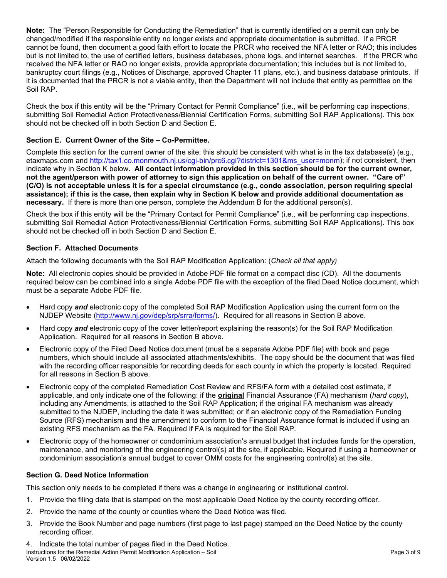**Note:** The "Person Responsible for Conducting the Remediation" that is currently identified on a permit can only be changed/modified if the responsible entity no longer exists and appropriate documentation is submitted. If a PRCR cannot be found, then document a good faith effort to locate the PRCR who received the NFA letter or RAO; this includes but is not limited to, the use of certified letters, business databases, phone logs, and internet searches. If the PRCR who received the NFA letter or RAO no longer exists, provide appropriate documentation; this includes but is not limited to, bankruptcy court filings (e.g., Notices of Discharge, approved Chapter 11 plans, etc.), and business database printouts. If it is documented that the PRCR is not a viable entity, then the Department will not include that entity as permittee on the Soil RAP.

Check the box if this entity will be the "Primary Contact for Permit Compliance" (i.e., will be performing cap inspections, submitting Soil Remedial Action Protectiveness/Biennial Certification Forms, submitting Soil RAP Applications). This box should not be checked off in both Section D and Section E.

## **Section E. Current Owner of the Site – Co-Permittee.**

Complete this section for the current owner of the site; this should be consistent with what is in the tax database(s) (e.g., etaxmaps.com and [http://tax1.co.monmouth.nj.us/cgi-bin/prc6.cgi?district=1301&ms\\_user=monm\)](http://tax1.co.monmouth.nj.us/cgi-bin/prc6.cgi?district=1301&ms_user=monm); if not consistent, then indicate why in Section K below. **All contact information provided in this section should be for the current owner, not the agent/person with power of attorney to sign this application on behalf of the current owner. "Care of" (C/O) is not acceptable unless it is for a special circumstance (e.g., condo association, person requiring special assistance); if this is the case, then explain why in Section K below and provide additional documentation as necessary.** If there is more than one person, complete the Addendum B for the additional person(s).

Check the box if this entity will be the "Primary Contact for Permit Compliance" (i.e., will be performing cap inspections, submitting Soil Remedial Action Protectiveness/Biennial Certification Forms, submitting Soil RAP Applications). This box should not be checked off in both Section D and Section E.

## **Section F. Attached Documents**

Attach the following documents with the Soil RAP Modification Application: (*Check all that apply)*

**Note:** All electronic copies should be provided in Adobe PDF file format on a compact disc (CD). All the documents required below can be combined into a single Adobe PDF file with the exception of the filed Deed Notice document, which must be a separate Adobe PDF file.

- Hard copy *and* electronic copy of the completed Soil RAP Modification Application using the current form on the NJDEP Website [\(http://www.nj.gov/dep/srp/srra/forms/\)](http://www.nj.gov/dep/srp/srra/forms/). Required for all reasons in Section B above.
- Hard copy *and* electronic copy of the cover letter/report explaining the reason(s) for the Soil RAP Modification Application. Required for all reasons in Section B above.
- Electronic copy of the Filed Deed Notice document (must be a separate Adobe PDF file) with book and page numbers, which should include all associated attachments/exhibits. The copy should be the document that was filed with the recording officer responsible for recording deeds for each county in which the property is located. Required for all reasons in Section B above.
- Electronic copy of the completed Remediation Cost Review and RFS/FA form with a detailed cost estimate, if applicable, and only indicate one of the following: if the **original** Financial Assurance (FA) mechanism (*hard copy*), including any Amendments, is attached to the Soil RAP Application; if the original FA mechanism was already submitted to the NJDEP, including the date it was submitted; or if an electronic copy of the Remediation Funding Source (RFS) mechanism and the amendment to conform to the Financial Assurance format is included if using an existing RFS mechanism as the FA. Required if FA is required for the Soil RAP.
- Electronic copy of the homeowner or condominium association's annual budget that includes funds for the operation, maintenance, and monitoring of the engineering control(s) at the site, if applicable. Required if using a homeowner or condominium association's annual budget to cover OMM costs for the engineering control(s) at the site.

## **Section G. Deed Notice Information**

This section only needs to be completed if there was a change in engineering or institutional control.

- 1. Provide the filing date that is stamped on the most applicable Deed Notice by the county recording officer.
- 2. Provide the name of the county or counties where the Deed Notice was filed.
- 3. Provide the Book Number and page numbers (first page to last page) stamped on the Deed Notice by the county recording officer.
- Instructions for the Remedial Action Permit Modification Application Soil **Page 3 of 9** Page 3 of 9 Version 1.5 06/02/2022 4. Indicate the total number of pages filed in the Deed Notice.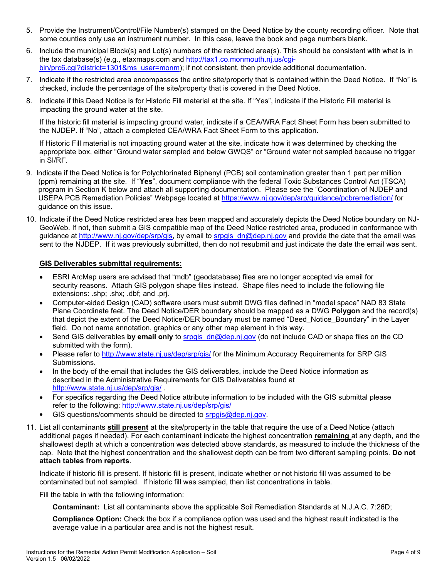- 5. Provide the Instrument/Control/File Number(s) stamped on the Deed Notice by the county recording officer. Note that some counties only use an instrument number. In this case, leave the book and page numbers blank.
- 6. Include the municipal Block(s) and Lot(s) numbers of the restricted area(s). This should be consistent with what is in the tax database(s) (e.g., etaxmaps.com and [http://tax1.co.monmouth.nj.us/cgi](http://tax1.co.monmouth.nj.us/cgi-bin/prc6.cgi?district=1301&ms_user=monm)[bin/prc6.cgi?district=1301&ms\\_user=monm\)](http://tax1.co.monmouth.nj.us/cgi-bin/prc6.cgi?district=1301&ms_user=monm); if not consistent, then provide additional documentation.
- 7. Indicate if the restricted area encompasses the entire site/property that is contained within the Deed Notice. If "No" is checked, include the percentage of the site/property that is covered in the Deed Notice.
- 8. Indicate if this Deed Notice is for Historic Fill material at the site. If "Yes", indicate if the Historic Fill material is impacting the ground water at the site.

If the historic fill material is impacting ground water, indicate if a CEA/WRA Fact Sheet Form has been submitted to the NJDEP. If "No", attach a completed CEA/WRA Fact Sheet Form to this application.

 If Historic Fill material is not impacting ground water at the site, indicate how it was determined by checking the appropriate box, either "Ground water sampled and below GWQS" or "Ground water not sampled because no trigger in SI/RI".

- 9. Indicate if the Deed Notice is for Polychlorinated Biphenyl (PCB) soil contamination greater than 1 part per million (ppm) remaining at the site. If "**Yes**", document compliance with the federal Toxic Substances Control Act (TSCA) program in Section K below and attach all supporting documentation. Please see the "Coordination of NJDEP and USEPA PCB Remediation Policies" Webpage located at<https://www.nj.gov/dep/srp/guidance/pcbremediation/> for guidance on this issue.
- 10. Indicate if the Deed Notice restricted area has been mapped and accurately depicts the Deed Notice boundary on NJ-GeoWeb. If not, then submit a GIS compatible map of the Deed Notice restricted area, produced in conformance with guidance at [http://www.nj.gov/dep/srp/gis,](http://www.nj.gov/dep/srp/gis) by email to srpgis**\_**[dn@dep.nj.gov](mailto:srpgis_dn@dep.nj.gov) and provide the date that the email was sent to the NJDEP. If it was previously submitted, then do not resubmit and just indicate the date the email was sent.

## **GIS Deliverables submittal requirements:**

- ESRI ArcMap users are advised that "mdb" (geodatabase) files are no longer accepted via email for security reasons. Attach GIS polygon shape files instead. Shape files need to include the following file extensions: .shp; .shx; .dbf; and .prj.
- Computer-aided Design (CAD) software users must submit DWG files defined in "model space" NAD 83 State Plane Coordinate feet. The Deed Notice/DER boundary should be mapped as a DWG **Polygon** and the record(s) that depict the extent of the Deed Notice/DER boundary must be named "Deed\_Notice\_Boundary" in the Layer field. Do not name annotation, graphics or any other map element in this way.
- Send GIS deliverables **by email only** to [srpgis\\_dn@dep.nj.gov](mailto:srpgis_dn@dep.nj.gov) (do not include CAD or shape files on the CD submitted with the form).
- Please refer to<http://www.state.nj.us/dep/srp/gis/>for the Minimum Accuracy Requirements for SRP GIS Submissions.
- In the body of the email that includes the GIS deliverables, include the Deed Notice information as described in the Administrative Requirements for GIS Deliverables found at <http://www.state.nj.us/dep/srp/gis/>.
- For specifics regarding the Deed Notice attribute information to be included with the GIS submittal please refer to the following:<http://www.state.nj.us/dep/srp/gis/>
- GIS questions/comments should be directed to [srpgis@dep.n](mailto:srpgis@dep.)i.gov.
- 11. List all contaminants **still present** at the site/property in the table that require the use of a Deed Notice (attach additional pages if needed). For each contaminant indicate the highest concentration **remaining** at any depth, and the shallowest depth at which a concentration was detected above standards, as measured to include the thickness of the cap. Note that the highest concentration and the shallowest depth can be from two different sampling points. **Do not attach tables from reports**.

Indicate if historic fill is present. If historic fill is present, indicate whether or not historic fill was assumed to be contaminated but not sampled. If historic fill was sampled, then list concentrations in table.

Fill the table in with the following information:

**Contaminant:** List all contaminants above the applicable Soil Remediation Standards at N.J.A.C. 7:26D;

**Compliance Option:** Check the box if a compliance option was used and the highest result indicated is the average value in a particular area and is not the highest result.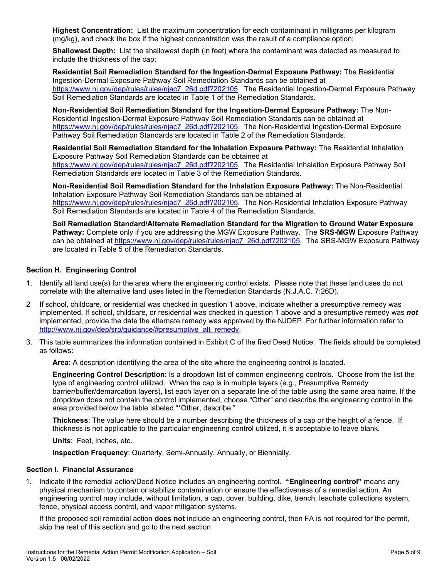**Highest Concentration:** List the maximum concentration for each contaminant in milligrams per kilogram (mg/kg), and check the box if the highest concentration was the result of a compliance option;

**Shallowest Depth:** List the shallowest depth (in feet) where the contaminant was detected as measured to include the thickness of the cap;

**Residential Soil Remediation Standard for the Ingestion-Dermal Exposure Pathway:** The Residential Ingestion-Dermal Exposure Pathway Soil Remediation Standards can be obtained at [https://www.nj.gov/dep/rules/rules/njac7\\_26d.pdf?202105.](https://www.nj.gov/dep/rules/rules/njac7_26d.pdf?202105) The Residential Ingestion-Dermal Exposure Pathway Soil Remediation Standards are located in Table 1 of the Remediation Standards.

**Non-Residential Soil Remediation Standard for the Ingestion-Dermal Exposure Pathway:** The Non-Residential Ingestion-Dermal Exposure Pathway Soil Remediation Standards can be obtained at [https://www.nj.gov/dep/rules/rules/njac7\\_26d.pdf?202105.](https://www.nj.gov/dep/rules/rules/njac7_26d.pdf?202105) The Non-Residential Ingestion-Dermal Exposure Pathway Soil Remediation Standards are located in Table 2 of the Remediation Standards.

**Residential Soil Remediation Standard for the Inhalation Exposure Pathway:** The Residential Inhalation Exposure Pathway Soil Remediation Standards can be obtained at [https://www.nj.gov/dep/rules/rules/njac7\\_26d.pdf?202105.](https://www.nj.gov/dep/rules/rules/njac7_26d.pdf?202105) The Residential Inhalation Exposure Pathway Soil Remediation Standards are located in Table 3 of the Remediation Standards.

**Non-Residential Soil Remediation Standard for the Inhalation Exposure Pathway:** The Non-Residential Inhalation Exposure Pathway Soil Remediation Standards can be obtained at [https://www.nj.gov/dep/rules/rules/njac7\\_26d.pdf?202105.](https://www.nj.gov/dep/rules/rules/njac7_26d.pdf?202105) The Non-Residential Inhalation Exposure Pathway Soil Remediation Standards are located in Table 4 of the Remediation Standards.

**Soil Remediation Standard/Alternate Remediation Standard for the Migration to Ground Water Exposure Pathway:** Complete only if you are addressing the MGW Exposure Pathway. The **SRS-MGW** Exposure Pathway can be obtained at [https://www.nj.gov/dep/rules/rules/njac7\\_26d.pdf?202105.](https://www.nj.gov/dep/rules/rules/njac7_26d.pdf?202105) The SRS-MGW Exposure Pathway are located in Table 5 of the Remediation Standards.

## **Section H. Engineering Control**

- 1. Identify all land use(s) for the area where the engineering control exists. Please note that these land uses do not correlate with the alternative land uses listed in the Remediation Standards (N.J.A.C. 7:26D).
- 2 If school, childcare, or residential was checked in question 1 above, indicate whether a presumptive remedy was implemented. If school, childcare, or residential was checked in question 1 above and a presumptive remedy was *not* implemented, provide the date the alternate remedy was approved by the NJDEP. For further information refer to [http://www.nj.gov/dep/srp/guidance/#presumptive\\_alt\\_remedy.](http://www.nj.gov/dep/srp/guidance/#presumptive_alt_remedy)
- 3. This table summarizes the information contained in Exhibit C of the filed Deed Notice. The fields should be completed as follows:

**Area**: A description identifying the area of the site where the engineering control is located.

**Engineering Control Description**: Is a dropdown list of common engineering controls. Choose from the list the type of engineering control utilized. When the cap is in multiple layers (e.g., Presumptive Remedy barrier/buffer/demarcation layers), list each layer on a separate line of the table using the same area name. If the dropdown does not contain the control implemented, choose "Other" and describe the engineering control in the area provided below the table labeled "\*Other, describe."

**Thickness**: The value here should be a number describing the thickness of a cap or the height of a fence. If thickness is not applicable to the particular engineering control utilized, it is acceptable to leave blank.

**Units**: Feet, inches, etc.

**Inspection Frequency**: Quarterly, Semi-Annually, Annually, or Biennially.

#### **Section I. Financial Assurance**

1. Indicate if the remedial action/Deed Notice includes an engineering control. **"Engineering control"** means any physical mechanism to contain or stabilize contamination or ensure the effectiveness of a remedial action. An engineering control may include, without limitation, a cap, cover, building, dike, trench, leachate collections system, fence, physical access control, and vapor mitigation systems.

If the proposed soil remedial action **does not** include an engineering control, then FA is not required for the permit, skip the rest of this section and go to the next section.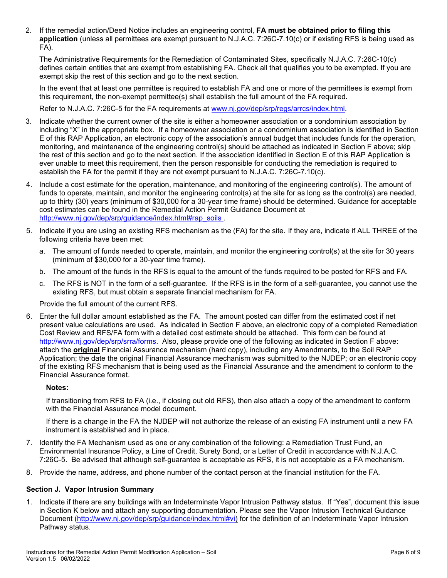2. If the remedial action/Deed Notice includes an engineering control, **FA must be obtained prior to filing this application** (unless all permittees are exempt pursuant to N.J.A.C. 7:26C-7.10(c) or if existing RFS is being used as FA).

The Administrative Requirements for the Remediation of Contaminated Sites, specifically N.J.A.C. 7:26C-10(c) defines certain entities that are exempt from establishing FA. Check all that qualifies you to be exempted. If you are exempt skip the rest of this section and go to the next section.

In the event that at least one permittee is required to establish FA and one or more of the permittees is exempt from this requirement, the non-exempt permittee(s) shall establish the full amount of the FA required.

Refer to N.J.A.C. 7:26C-5 for the FA requirements at [www.nj.gov/dep/srp/regs/arrcs/index.html.](https://sonj-my.sharepoint.com/pbauer/AppData/Local/Microsoft/Windows/Temporary%20Internet%20Files/bhose/AppData/Local/Microsoft/Windows/Local%20Settings/Temporary%20Internet%20Files/Content.Outlook/I2JSDHFU/www.nj.gov/dep/srp/regs/arrcs/index.html)

- 3. Indicate whether the current owner of the site is either a homeowner association or a condominium association by including "X" in the appropriate box. If a homeowner association or a condominium association is identified in Section E of this RAP Application, an electronic copy of the association's annual budget that includes funds for the operation, monitoring, and maintenance of the engineering control(s) should be attached as indicated in Section F above; skip the rest of this section and go to the next section. If the association identified in Section E of this RAP Application is ever unable to meet this requirement, then the person responsible for conducting the remediation is required to establish the FA for the permit if they are not exempt pursuant to N.J.A.C. 7:26C-7.10(c).
- 4. Include a cost estimate for the operation, maintenance, and monitoring of the engineering control(s). The amount of funds to operate, maintain, and monitor the engineering control(s) at the site for as long as the control(s) are needed, up to thirty (30) years (minimum of \$30,000 for a 30-year time frame) should be determined. Guidance for acceptable cost estimates can be found in the Remedial Action Permit Guidance Document at [http://www.nj.gov/dep/srp/guidance/index.html#rap\\_soils](http://www.nj.gov/dep/srp/guidance/index.html#rap_soils) .
- 5. Indicate if you are using an existing RFS mechanism as the (FA) for the site. If they are, indicate if ALL THREE of the following criteria have been met:
	- a. The amount of funds needed to operate, maintain, and monitor the engineering control(s) at the site for 30 years (minimum of \$30,000 for a 30-year time frame).
	- b. The amount of the funds in the RFS is equal to the amount of the funds required to be posted for RFS and FA.
	- c. The RFS is NOT in the form of a self-guarantee. If the RFS is in the form of a self-guarantee, you cannot use the existing RFS, but must obtain a separate financial mechanism for FA.

Provide the full amount of the current RFS.

6. Enter the full dollar amount established as the FA. The amount posted can differ from the estimated cost if net present value calculations are used. As indicated in Section F above, an electronic copy of a completed Remediation Cost Review and RFS/FA form with a detailed cost estimate should be attached. This form can be found at [http://www.nj.gov/dep/srp/srra/forms.](http://www.nj.gov/dep/srp/srra/forms) Also, please provide one of the following as indicated in Section F above: attach the **original** Financial Assurance mechanism (hard copy), including any Amendments, to the Soil RAP Application; the date the original Financial Assurance mechanism was submitted to the NJDEP; or an electronic copy of the existing RFS mechanism that is being used as the Financial Assurance and the amendment to conform to the Financial Assurance format.

#### **Notes:**

If transitioning from RFS to FA (i.e., if closing out old RFS), then also attach a copy of the amendment to conform with the Financial Assurance model document.

If there is a change in the FA the NJDEP will not authorize the release of an existing FA instrument until a new FA instrument is established and in place.

- 7. Identify the FA Mechanism used as one or any combination of the following: a Remediation Trust Fund, an Environmental Insurance Policy, a Line of Credit, Surety Bond, or a Letter of Credit in accordance with N.J.A.C. 7:26C-5. Be advised that although self-guarantee is acceptable as RFS, it is not acceptable as a FA mechanism.
- 8. Provide the name, address, and phone number of the contact person at the financial institution for the FA.

#### **Section J. Vapor Intrusion Summary**

1. Indicate if there are any buildings with an Indeterminate Vapor Intrusion Pathway status. If "Yes", document this issue in Section K below and attach any supporting documentation. Please see the Vapor Intrusion Technical Guidance Document [\(http://www.nj.gov/dep/srp/guidance/index.html#vi\)](http://www.nj.gov/dep/srp/guidance/index.html#vi) for the definition of an Indeterminate Vapor Intrusion Pathway status.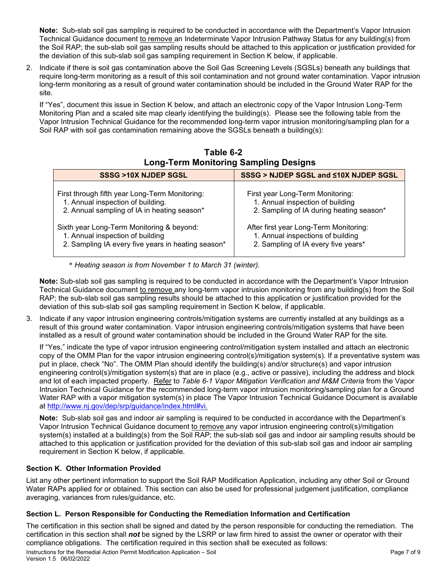**Note:** Sub-slab soil gas sampling is required to be conducted in accordance with the Department's Vapor Intrusion Technical Guidance document to remove an Indeterminate Vapor Intrusion Pathway Status for any building(s) from the Soil RAP; the sub-slab soil gas sampling results should be attached to this application or justification provided for the deviation of this sub-slab soil gas sampling requirement in Section K below, if applicable.

2. Indicate if there is soil gas contamination above the Soil Gas Screening Levels (SGSLs) beneath any buildings that require long-term monitoring as a result of this soil contamination and not ground water contamination. Vapor intrusion long-term monitoring as a result of ground water contamination should be included in the Ground Water RAP for the site.

If "Yes", document this issue in Section K below, and attach an electronic copy of the Vapor Intrusion Long-Term Monitoring Plan and a scaled site map clearly identifying the building(s). Please see the following table from the Vapor Intrusion Technical Guidance for the recommended long-term vapor intrusion monitoring/sampling plan for a Soil RAP with soil gas contamination remaining above the SGSLs beneath a building(s):

| SSSG >10X NJDEP SGSL                               | SSSG > NJDEP SGSL and <10X NJDEP SGSL    |
|----------------------------------------------------|------------------------------------------|
| First through fifth year Long-Term Monitoring:     | First year Long-Term Monitoring:         |
| 1. Annual inspection of building.                  | 1. Annual inspection of building         |
| 2. Annual sampling of IA in heating season*        | 2. Sampling of IA during heating season* |
| Sixth year Long-Term Monitoring & beyond:          | After first year Long-Term Monitoring:   |
| 1. Annual inspection of building                   | 1. Annual inspections of building        |
| 2. Sampling IA every five years in heating season* | 2. Sampling of IA every five years*      |

# **Table 6-2 Long-Term Monitoring Sampling Designs**

\* *Heating season is from November 1 to March 31 (winter).*

**Note:** Sub-slab soil gas sampling is required to be conducted in accordance with the Department's Vapor Intrusion Technical Guidance document to remove any long-term vapor intrusion monitoring from any building(s) from the Soil RAP; the sub-slab soil gas sampling results should be attached to this application or justification provided for the deviation of this sub-slab soil gas sampling requirement in Section K below, if applicable.

3. Indicate if any vapor intrusion engineering controls/mitigation systems are currently installed at any buildings as a result of this ground water contamination. Vapor intrusion engineering controls/mitigation systems that have been installed as a result of ground water contamination should be included in the Ground Water RAP for the site.

If "Yes," indicate the type of vapor intrusion engineering control/mitigation system installed and attach an electronic copy of the OMM Plan for the vapor intrusion engineering control(s)/mitigation system(s). If a preventative system was put in place, check "No". The OMM Plan should identify the building(s) and/or structure(s) and vapor intrusion engineering control(s)/mitigation system(s) that are in place (e.g., active or passive), including the address and block and lot of each impacted property. Refer to *Table 6-1 Vapor Mitigation Verification and M&M Criteria* from the Vapor Intrusion Technical Guidance for the recommended long-term vapor intrusion monitoring/sampling plan for a Ground Water RAP with a vapor mitigation system(s) in place The Vapor Intrusion Technical Guidance Document is available at [http://www.nj.gov/dep/srp/guidance/index.html#vi.](http://www.nj.gov/dep/srp/guidance/index.html#vi)

**Note:** Sub-slab soil gas and indoor air sampling is required to be conducted in accordance with the Department's Vapor Intrusion Technical Guidance document to remove any vapor intrusion engineering control(s)/mitigation system(s) installed at a building(s) from the Soil RAP; the sub-slab soil gas and indoor air sampling results should be attached to this application or justification provided for the deviation of this sub-slab soil gas and indoor air sampling requirement in Section K below, if applicable.

## **Section K. Other Information Provided**

List any other pertinent information to support the Soil RAP Modification Application, including any other Soil or Ground Water RAPs applied for or obtained. This section can also be used for professional judgement justification, compliance averaging, variances from rules/guidance, etc.

## **Section L. Person Responsible for Conducting the Remediation Information and Certification**

The certification in this section shall be signed and dated by the person responsible for conducting the remediation. The certification in this section shall *not* be signed by the LSRP or law firm hired to assist the owner or operator with their compliance obligations. The certification required in this section shall be executed as follows: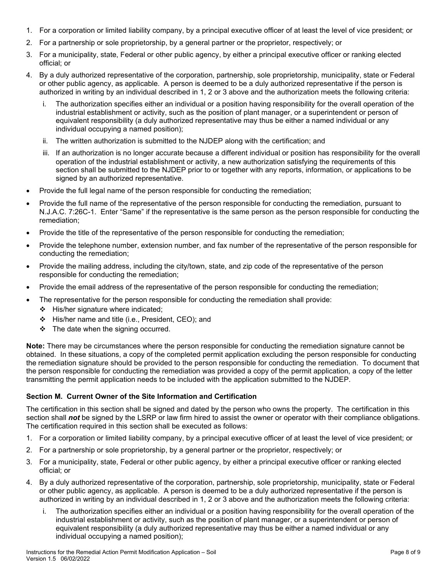- 1. For a corporation or limited liability company, by a principal executive officer of at least the level of vice president; or
- 2. For a partnership or sole proprietorship, by a general partner or the proprietor, respectively; or
- 3. For a municipality, state, Federal or other public agency, by either a principal executive officer or ranking elected official; or
- 4. By a duly authorized representative of the corporation, partnership, sole proprietorship, municipality, state or Federal or other public agency, as applicable. A person is deemed to be a duly authorized representative if the person is authorized in writing by an individual described in 1, 2 or 3 above and the authorization meets the following criteria:
	- i. The authorization specifies either an individual or a position having responsibility for the overall operation of the industrial establishment or activity, such as the position of plant manager, or a superintendent or person of equivalent responsibility (a duly authorized representative may thus be either a named individual or any individual occupying a named position);
	- ii. The written authorization is submitted to the NJDEP along with the certification; and
	- iii. If an authorization is no longer accurate because a different individual or position has responsibility for the overall operation of the industrial establishment or activity, a new authorization satisfying the requirements of this section shall be submitted to the NJDEP prior to or together with any reports, information, or applications to be signed by an authorized representative.
- Provide the full legal name of the person responsible for conducting the remediation;
- Provide the full name of the representative of the person responsible for conducting the remediation, pursuant to N.J.A.C. 7:26C-1. Enter "Same" if the representative is the same person as the person responsible for conducting the remediation;
- Provide the title of the representative of the person responsible for conducting the remediation;
- Provide the telephone number, extension number, and fax number of the representative of the person responsible for conducting the remediation;
- Provide the mailing address, including the city/town, state, and zip code of the representative of the person responsible for conducting the remediation;
- Provide the email address of the representative of the person responsible for conducting the remediation;
- The representative for the person responsible for conducting the remediation shall provide:
	- $\div$  His/her signature where indicated;
	- His/her name and title (i.e., President, CEO); and
	- $\div$  The date when the signing occurred.

**Note:** There may be circumstances where the person responsible for conducting the remediation signature cannot be obtained. In these situations, a copy of the completed permit application excluding the person responsible for conducting the remediation signature should be provided to the person responsible for conducting the remediation. To document that the person responsible for conducting the remediation was provided a copy of the permit application, a copy of the letter transmitting the permit application needs to be included with the application submitted to the NJDEP.

## **Section M. Current Owner of the Site Information and Certification**

The certification in this section shall be signed and dated by the person who owns the property. The certification in this section shall *not* be signed by the LSRP or law firm hired to assist the owner or operator with their compliance obligations. The certification required in this section shall be executed as follows:

- 1. For a corporation or limited liability company, by a principal executive officer of at least the level of vice president; or
- 2. For a partnership or sole proprietorship, by a general partner or the proprietor, respectively; or
- 3. For a municipality, state, Federal or other public agency, by either a principal executive officer or ranking elected official; or
- 4. By a duly authorized representative of the corporation, partnership, sole proprietorship, municipality, state or Federal or other public agency, as applicable. A person is deemed to be a duly authorized representative if the person is authorized in writing by an individual described in 1, 2 or 3 above and the authorization meets the following criteria:
	- i. The authorization specifies either an individual or a position having responsibility for the overall operation of the industrial establishment or activity, such as the position of plant manager, or a superintendent or person of equivalent responsibility (a duly authorized representative may thus be either a named individual or any individual occupying a named position);